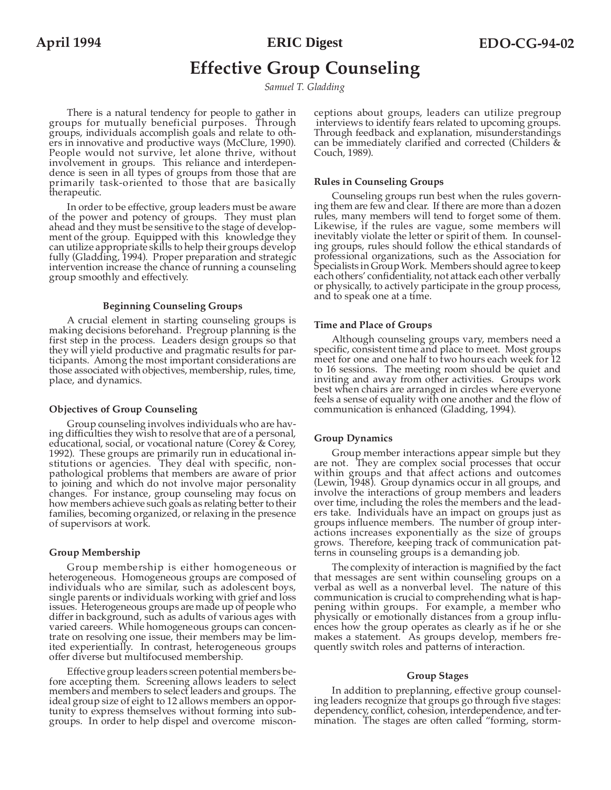**ERIC Digest**

# **Effective Group Counseling**

*Samuel T. Gladding*

There is a natural tendency for people to gather in groups for mutually beneficial purposes. Through groups, individuals accomplish goals and relate to others in innovative and productive ways (McClure, 1990). People would not survive, let alone thrive, without involvement in groups. This reliance and interdependence is seen in all types of groups from those that are primarily task-oriented to those that are basically therapeutic.

In order to be effective, group leaders must be aware of the power and potency of groups. They must plan ahead and they must be sensitive to the stage of development of the group. Equipped with this knowledge they can utilize appropriate skills to help their groups develop fully (Gladding, 1994). Proper preparation and strategic intervention increase the chance of running a counseling group smoothly and effectively.

#### **Beginning Counseling Groups**

A crucial element in starting counseling groups is making decisions beforehand. Pregroup planning is the first step in the process. Leaders design groups so that they will yield productive and pragmatic results for participants. Among the most important considerations are those associated with objectives, membership, rules, time, place, and dynamics.

# **Objectives of Group Counseling**

Group counseling involves individuals who are having difficulties they wish to resolve that are of a personal, educational, social, or vocational nature (Corey & Corey, 1992). These groups are primarily run in educational institutions or agencies. They deal with specific, nonpathological problems that members are aware of prior to joining and which do not involve major personality changes. For instance, group counseling may focus on how members achieve such goals as relating better to their families, becoming organized, or relaxing in the presence of supervisors at work.

## **Group Membership**

Group membership is either homogeneous or heterogeneous. Homogeneous groups are composed of individuals who are similar, such as adolescent boys, single parents or individuals working with grief and loss issues. Heterogeneous groups are made up of people who differ in background, such as adults of various ages with varied careers. While homogeneous groups can concentrate on resolving one issue, their members may be limited experientially. In contrast, heterogeneous groups offer diverse but multifocused membership.

Effective group leaders screen potential members before accepting them. Screening allows leaders to select members and members to select leaders and groups. The ideal group size of eight to 12 allows members an opportunity to express themselves without forming into subgroups. In order to help dispel and overcome misconceptions about groups, leaders can utilize pregroup interviews to identify fears related to upcoming groups. Through feedback and explanation, misunderstandings can be immediately clarified and corrected (Childers & Couch, 1989).

# **Rules in Counseling Groups**

Counseling groups run best when the rules governing them are few and clear. If there are more than a dozen rules, many members will tend to forget some of them. Likewise, if the rules are vague, some members will inevitably violate the letter or spirit of them. In counseling groups, rules should follow the ethical standards of professional organizations, such as the Association for Specialists in Group Work. Members should agree to keep each others' confidentiality, not attack each other verbally or physically, to actively participate in the group process, and to speak one at a time.

## **Time and Place of Groups**

Although counseling groups vary, members need a specific, consistent time and place to meet. Most groups meet for one and one half to two hours each week for 12 to 16 sessions. The meeting room should be quiet and inviting and away from other activities. Groups work best when chairs are arranged in circles where everyone feels a sense of equality with one another and the flow of communication is enhanced (Gladding, 1994).

## **Group Dynamics**

Group member interactions appear simple but they are not. They are complex social processes that occur within groups and that affect actions and outcomes (Lewin, 1948). Group dynamics occur in all groups, and involve the interactions of group members and leaders over time, including the roles the members and the leaders take. Individuals have an impact on groups just as groups influence members. The number of group interactions increases exponentially as the size of groups grows. Therefore, keeping track of communication patterns in counseling groups is a demanding job.

The complexity of interaction is magnified by the fact that messages are sent within counseling groups on a verbal as well as a nonverbal level. The nature of this communication is crucial to comprehending what is happening within groups. For example, a member who physically or emotionally distances from a group influences how the group operates as clearly as if he or she makes a statement. As groups develop, members frequently switch roles and patterns of interaction.

#### **Group Stages**

In addition to preplanning, effective group counseling leaders recognize that groups go through five stages: dependency, conflict, cohesion, interdependence, and termination. The stages are often called "forming, storm